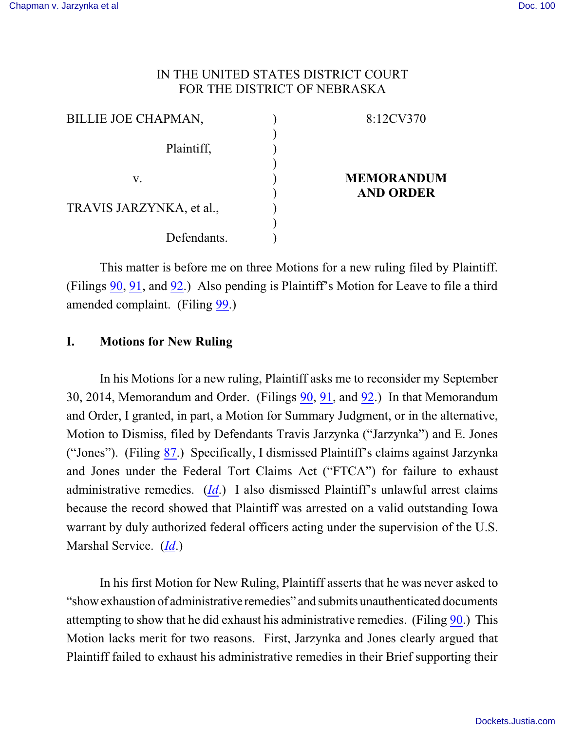## IN THE UNITED STATES DISTRICT COURT FOR THE DISTRICT OF NEBRASKA

| <b>BILLIE JOE CHAPMAN,</b> | 8:12CV370         |
|----------------------------|-------------------|
| Plaintiff,                 |                   |
| v.                         | <b>MEMORANDUM</b> |
| TRAVIS JARZYNKA, et al.,   | <b>AND ORDER</b>  |
| Defendants.                |                   |

This matter is before me on three Motions for a new ruling filed by Plaintiff. (Filings [90](https://ecf.ned.uscourts.gov/doc1/11313130857), [91](https://ecf.ned.uscourts.gov/doc1/11313135947), and [92](https://ecf.ned.uscourts.gov/doc1/11313135954).) Also pending is Plaintiff's Motion for Leave to file a third amended complaint. (Filing [99](https://ecf.ned.uscourts.gov/doc1/11303155267).)

## **I. Motions for New Ruling**

In his Motions for a new ruling, Plaintiff asks me to reconsider my September 30, 2014, Memorandum and Order. (Filings [90](https://ecf.ned.uscourts.gov/doc1/11313130857), [91](https://ecf.ned.uscourts.gov/doc1/11313135947), and [92](https://ecf.ned.uscourts.gov/doc1/11313135954).) In that Memorandum and Order, I granted, in part, a Motion for Summary Judgment, or in the alternative, Motion to Dismiss, filed by Defendants Travis Jarzynka ("Jarzynka") and E. Jones ("Jones"). (Filing [87](https://ecf.ned.uscourts.gov/doc1/11313115338).) Specifically, I dismissed Plaintiff's claims against Jarzynka and Jones under the Federal Tort Claims Act ("FTCA") for failure to exhaust administrative remedies. (*[Id](https://ecf.ned.uscourts.gov/doc1/11313115338)*.) I also dismissed Plaintiff's unlawful arrest claims because the record showed that Plaintiff was arrested on a valid outstanding Iowa warrant by duly authorized federal officers acting under the supervision of the U.S. Marshal Service. (*[Id](https://ecf.ned.uscourts.gov/doc1/11313115338)*.)

In his first Motion for New Ruling, Plaintiff asserts that he was never asked to "show exhaustion of administrative remedies" and submits unauthenticated documents attempting to show that he did exhaust his administrative remedies. (Filing [90](https://ecf.ned.uscourts.gov/doc1/11313130857).) This Motion lacks merit for two reasons. First, Jarzynka and Jones clearly argued that Plaintiff failed to exhaust his administrative remedies in their Brief supporting their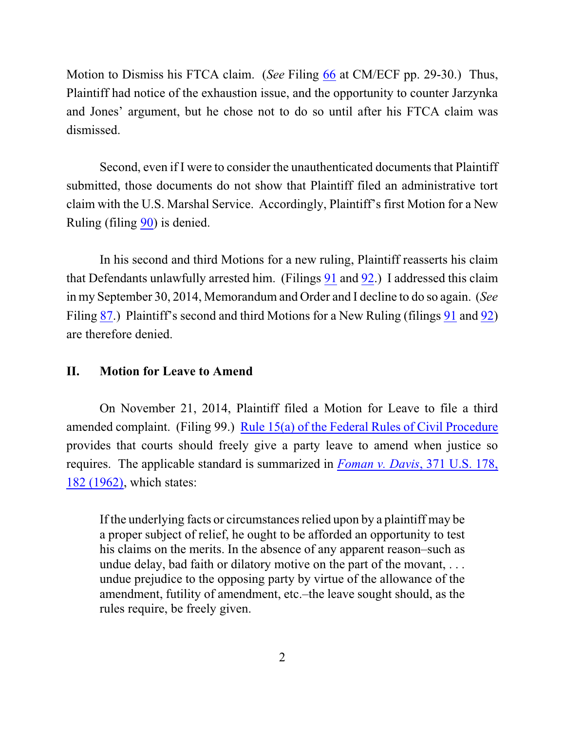Motion to Dismiss his FTCA claim. (*See* Filing [66](https://ecf.ned.uscourts.gov/doc1/11313000765) at CM/ECF pp. 29-30.) Thus, Plaintiff had notice of the exhaustion issue, and the opportunity to counter Jarzynka and Jones' argument, but he chose not to do so until after his FTCA claim was dismissed.

Second, even if I were to consider the unauthenticated documents that Plaintiff submitted, those documents do not show that Plaintiff filed an administrative tort claim with the U.S. Marshal Service. Accordingly, Plaintiff's first Motion for a New Ruling (filing [90](https://ecf.ned.uscourts.gov/doc1/11313130857)) is denied.

In his second and third Motions for a new ruling, Plaintiff reasserts his claim that Defendants unlawfully arrested him. (Filings [91](https://ecf.ned.uscourts.gov/doc1/11313135947) and [92](https://ecf.ned.uscourts.gov/doc1/11313135954).) I addressed this claim in my September 30, 2014, Memorandum and Order and I decline to do so again. (*See* Filing [87](https://ecf.ned.uscourts.gov/doc1/11313115338).) Plaintiff's second and third Motions for a New Ruling (filings [91](https://ecf.ned.uscourts.gov/doc1/11313135947) and [92](https://ecf.ned.uscourts.gov/doc1/11313135954)) are therefore denied.

## **II. Motion for Leave to Amend**

On November 21, 2014, Plaintiff filed a Motion for Leave to file a third amended complaint. (Filing 99.) [Rule 15\(a\) of the Federal Rules of Civil Procedure](http://web2.westlaw.com/find/default.wl?fn=_top&rs=WLW8.10&rp=%2ffind%2fdefault.wl&mt=Westlaw&vr=2.0&sv=Split&cite=frcp+15) provides that courts should freely give a party leave to amend when justice so requires. The applicable standard is summarized in *[Foman v. Davis](http://web2.westlaw.com/find/default.wl?fn=_top&rs=WLW8.10&rp=%2ffind%2fdefault.wl&mt=Westlaw&vr=2.0&sv=Split&cite=371+us+182)*, 371 U.S. 178, [182 \(1962\)](http://web2.westlaw.com/find/default.wl?fn=_top&rs=WLW8.10&rp=%2ffind%2fdefault.wl&mt=Westlaw&vr=2.0&sv=Split&cite=371+us+182), which states:

If the underlying facts or circumstances relied upon by a plaintiff may be a proper subject of relief, he ought to be afforded an opportunity to test his claims on the merits. In the absence of any apparent reason–such as undue delay, bad faith or dilatory motive on the part of the movant, . . . undue prejudice to the opposing party by virtue of the allowance of the amendment, futility of amendment, etc.–the leave sought should, as the rules require, be freely given.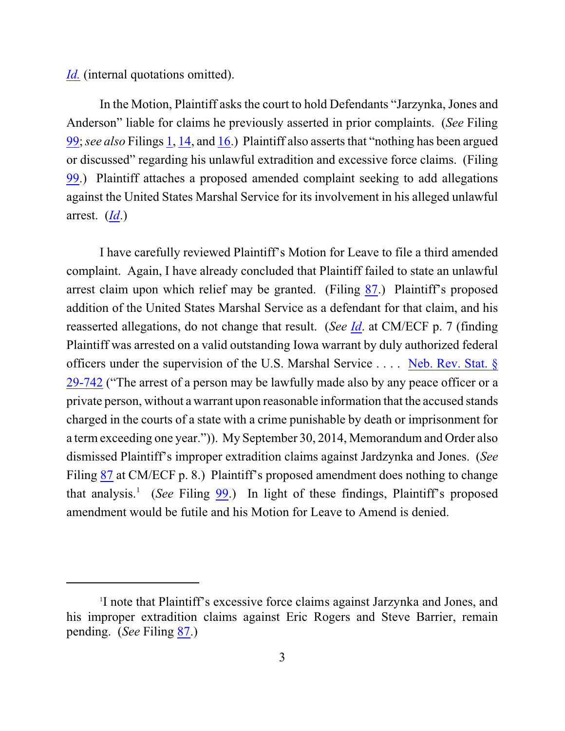*[Id.](http://web2.westlaw.com/find/default.wl?fn=_top&rs=WLW8.10&rp=%2ffind%2fdefault.wl&mt=Westlaw&vr=2.0&sv=Split&cite=371+us+182)* (internal quotations omitted).

In the Motion, Plaintiff asks the court to hold Defendants "Jarzynka, Jones and Anderson" liable for claims he previously asserted in prior complaints. (*See* Filing [99](https://ecf.ned.uscourts.gov/doc1/11303155267); *see also* Filings [1](https://ecf.ned.uscourts.gov/doc1/11312633070), [14](https://ecf.ned.uscourts.gov/doc1/11312704884), and [16](https://ecf.ned.uscourts.gov/doc1/11312780802).) Plaintiff also asserts that "nothing has been argued or discussed" regarding his unlawful extradition and excessive force claims. (Filing [99](https://ecf.ned.uscourts.gov/doc1/11303155267).) Plaintiff attaches a proposed amended complaint seeking to add allegations against the United States Marshal Service for its involvement in his alleged unlawful arrest. (*[Id](https://ecf.ned.uscourts.gov/doc1/11303155267)*.)

I have carefully reviewed Plaintiff's Motion for Leave to file a third amended complaint. Again, I have already concluded that Plaintiff failed to state an unlawful arrest claim upon which relief may be granted. (Filing [87](https://ecf.ned.uscourts.gov/doc1/11313115338).) Plaintiff's proposed addition of the United States Marshal Service as a defendant for that claim, and his reasserted allegations, do not change that result. (*See [Id](https://ecf.ned.uscourts.gov/doc1/11313115338)*. at CM/ECF p. 7 (finding Plaintiff was arrested on a valid outstanding Iowa warrant by duly authorized federal officers under the supervision of the U.S. Marshal Service . . . . [Neb. Rev. Stat. §](https://web2.westlaw.com/find/default.wl?cite=Neb.+Rev.+Stat.+%c2%a7+29-742+&rs=WLW14.10&vr=2.0&rp=%2ffind%2fdefault.wl&sv=Split&fn=_top&mt=Westlaw) [29-742](https://web2.westlaw.com/find/default.wl?cite=Neb.+Rev.+Stat.+%c2%a7+29-742+&rs=WLW14.10&vr=2.0&rp=%2ffind%2fdefault.wl&sv=Split&fn=_top&mt=Westlaw) ("The arrest of a person may be lawfully made also by any peace officer or a private person, without a warrant upon reasonable information that the accused stands charged in the courts of a state with a crime punishable by death or imprisonment for a term exceeding one year.")). My September 30, 2014, Memorandum and Order also dismissed Plaintiff's improper extradition claims against Jardzynka and Jones. (*See* Filing [87](https://ecf.ned.uscourts.gov/doc1/11313115338) at CM/ECF p. 8.) Plaintiff's proposed amendment does nothing to change that analysis.<sup>1</sup> (*See* Filing [99](https://ecf.ned.uscourts.gov/doc1/11303155267).) In light of these findings, Plaintiff's proposed amendment would be futile and his Motion for Leave to Amend is denied.

<sup>1</sup> I note that Plaintiff's excessive force claims against Jarzynka and Jones, and his improper extradition claims against Eric Rogers and Steve Barrier, remain pending. (*See* Filing [87](https://ecf.ned.uscourts.gov/doc1/11313115338).)